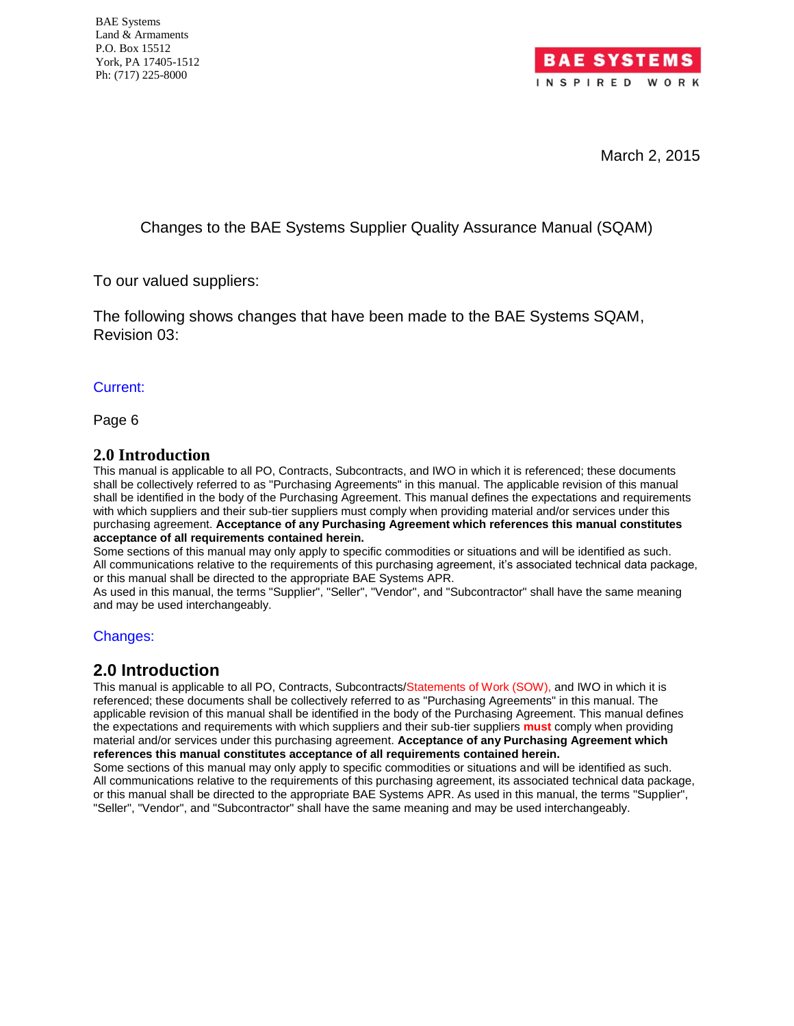

March 2, 2015

Changes to the BAE Systems Supplier Quality Assurance Manual (SQAM)

To our valued suppliers:

The following shows changes that have been made to the BAE Systems SQAM, Revision 03:

# Current:

Page 6

# **2.0 Introduction**

This manual is applicable to all PO, Contracts, Subcontracts, and IWO in which it is referenced; these documents shall be collectively referred to as "Purchasing Agreements" in this manual. The applicable revision of this manual shall be identified in the body of the Purchasing Agreement. This manual defines the expectations and requirements with which suppliers and their sub-tier suppliers must comply when providing material and/or services under this purchasing agreement. **Acceptance of any Purchasing Agreement which references this manual constitutes acceptance of all requirements contained herein.** 

Some sections of this manual may only apply to specific commodities or situations and will be identified as such. All communications relative to the requirements of this purchasing agreement, it's associated technical data package, or this manual shall be directed to the appropriate BAE Systems APR.

As used in this manual, the terms "Supplier", "Seller", "Vendor", and "Subcontractor" shall have the same meaning and may be used interchangeably.

# Changes:

# **2.0 Introduction**

This manual is applicable to all PO, Contracts, Subcontracts/Statements of Work (SOW), and IWO in which it is referenced; these documents shall be collectively referred to as "Purchasing Agreements" in this manual. The applicable revision of this manual shall be identified in the body of the Purchasing Agreement. This manual defines the expectations and requirements with which suppliers and their sub-tier suppliers **must** comply when providing material and/or services under this purchasing agreement. **Acceptance of any Purchasing Agreement which references this manual constitutes acceptance of all requirements contained herein.** 

Some sections of this manual may only apply to specific commodities or situations and will be identified as such. All communications relative to the requirements of this purchasing agreement, its associated technical data package, or this manual shall be directed to the appropriate BAE Systems APR. As used in this manual, the terms "Supplier", "Seller", "Vendor", and "Subcontractor" shall have the same meaning and may be used interchangeably.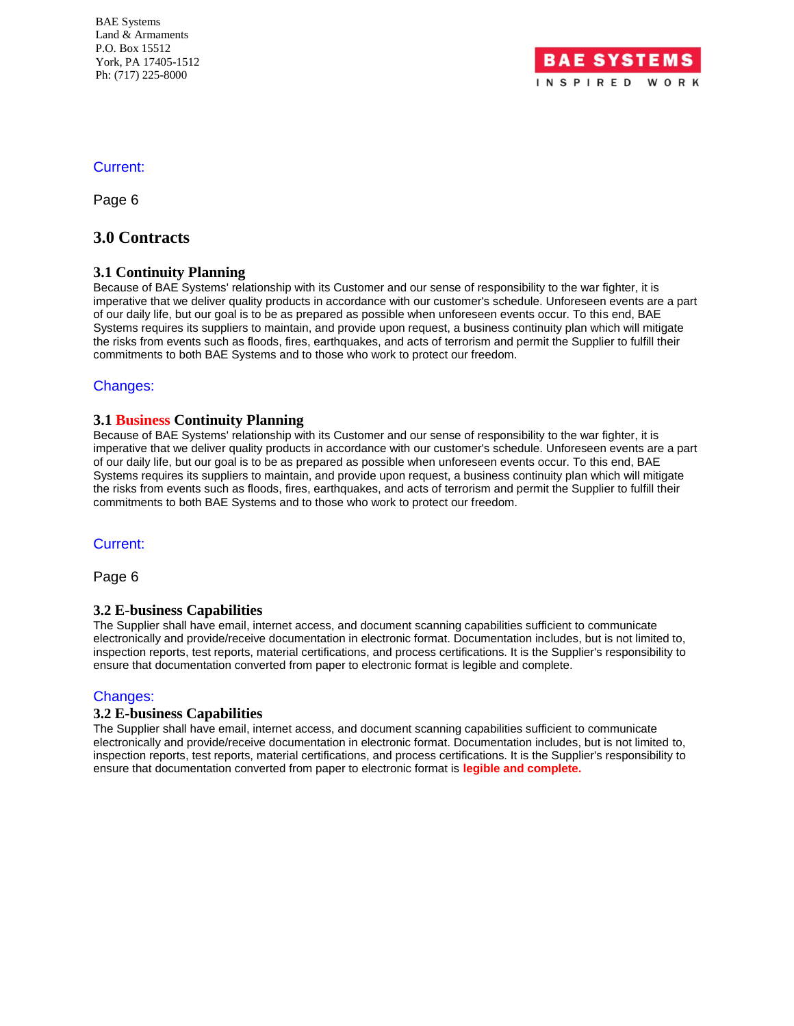

#### Current:

Page 6

# **3.0 Contracts**

#### **3.1 Continuity Planning**

Because of BAE Systems' relationship with its Customer and our sense of responsibility to the war fighter, it is imperative that we deliver quality products in accordance with our customer's schedule. Unforeseen events are a part of our daily life, but our goal is to be as prepared as possible when unforeseen events occur. To this end, BAE Systems requires its suppliers to maintain, and provide upon request, a business continuity plan which will mitigate the risks from events such as floods, fires, earthquakes, and acts of terrorism and permit the Supplier to fulfill their commitments to both BAE Systems and to those who work to protect our freedom.

#### Changes:

#### **3.1 Business Continuity Planning**

Because of BAE Systems' relationship with its Customer and our sense of responsibility to the war fighter, it is imperative that we deliver quality products in accordance with our customer's schedule. Unforeseen events are a part of our daily life, but our goal is to be as prepared as possible when unforeseen events occur. To this end, BAE Systems requires its suppliers to maintain, and provide upon request, a business continuity plan which will mitigate the risks from events such as floods, fires, earthquakes, and acts of terrorism and permit the Supplier to fulfill their commitments to both BAE Systems and to those who work to protect our freedom.

#### Current:

Page 6

#### **3.2 E-business Capabilities**

The Supplier shall have email, internet access, and document scanning capabilities sufficient to communicate electronically and provide/receive documentation in electronic format. Documentation includes, but is not limited to, inspection reports, test reports, material certifications, and process certifications. It is the Supplier's responsibility to ensure that documentation converted from paper to electronic format is legible and complete.

#### Changes:

#### **3.2 E-business Capabilities**

The Supplier shall have email, internet access, and document scanning capabilities sufficient to communicate electronically and provide/receive documentation in electronic format. Documentation includes, but is not limited to, inspection reports, test reports, material certifications, and process certifications. It is the Supplier's responsibility to ensure that documentation converted from paper to electronic format is **legible and complete.**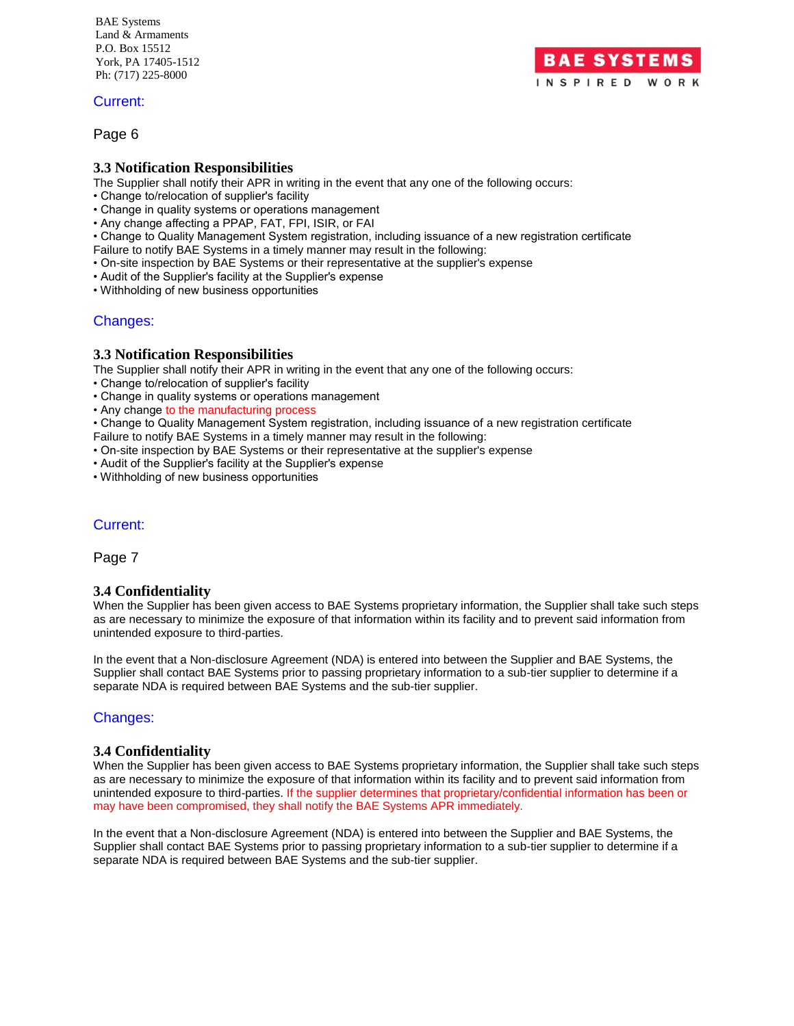#### Current:

Page 6

#### **3.3 Notification Responsibilities**

The Supplier shall notify their APR in writing in the event that any one of the following occurs:

- Change to/relocation of supplier's facility
- Change in quality systems or operations management
- Any change affecting a PPAP, FAT, FPI, ISIR, or FAI
- Change to Quality Management System registration, including issuance of a new registration certificate Failure to notify BAE Systems in a timely manner may result in the following:
- On-site inspection by BAE Systems or their representative at the supplier's expense
- Audit of the Supplier's facility at the Supplier's expense
- Withholding of new business opportunities

#### Changes:

#### **3.3 Notification Responsibilities**

The Supplier shall notify their APR in writing in the event that any one of the following occurs:

- Change to/relocation of supplier's facility
- Change in quality systems or operations management
- Any change to the manufacturing process

• Change to Quality Management System registration, including issuance of a new registration certificate

- Failure to notify BAE Systems in a timely manner may result in the following:
- On-site inspection by BAE Systems or their representative at the supplier's expense
- Audit of the Supplier's facility at the Supplier's expense
- Withholding of new business opportunities

# Current:

Page 7

#### **3.4 Confidentiality**

When the Supplier has been given access to BAE Systems proprietary information, the Supplier shall take such steps as are necessary to minimize the exposure of that information within its facility and to prevent said information from unintended exposure to third-parties.

In the event that a Non-disclosure Agreement (NDA) is entered into between the Supplier and BAE Systems, the Supplier shall contact BAE Systems prior to passing proprietary information to a sub-tier supplier to determine if a separate NDA is required between BAE Systems and the sub-tier supplier.

#### Changes:

#### **3.4 Confidentiality**

When the Supplier has been given access to BAE Systems proprietary information, the Supplier shall take such steps as are necessary to minimize the exposure of that information within its facility and to prevent said information from unintended exposure to third-parties. If the supplier determines that proprietary/confidential information has been or may have been compromised, they shall notify the BAE Systems APR immediately.

In the event that a Non-disclosure Agreement (NDA) is entered into between the Supplier and BAE Systems, the Supplier shall contact BAE Systems prior to passing proprietary information to a sub-tier supplier to determine if a separate NDA is required between BAE Systems and the sub-tier supplier.

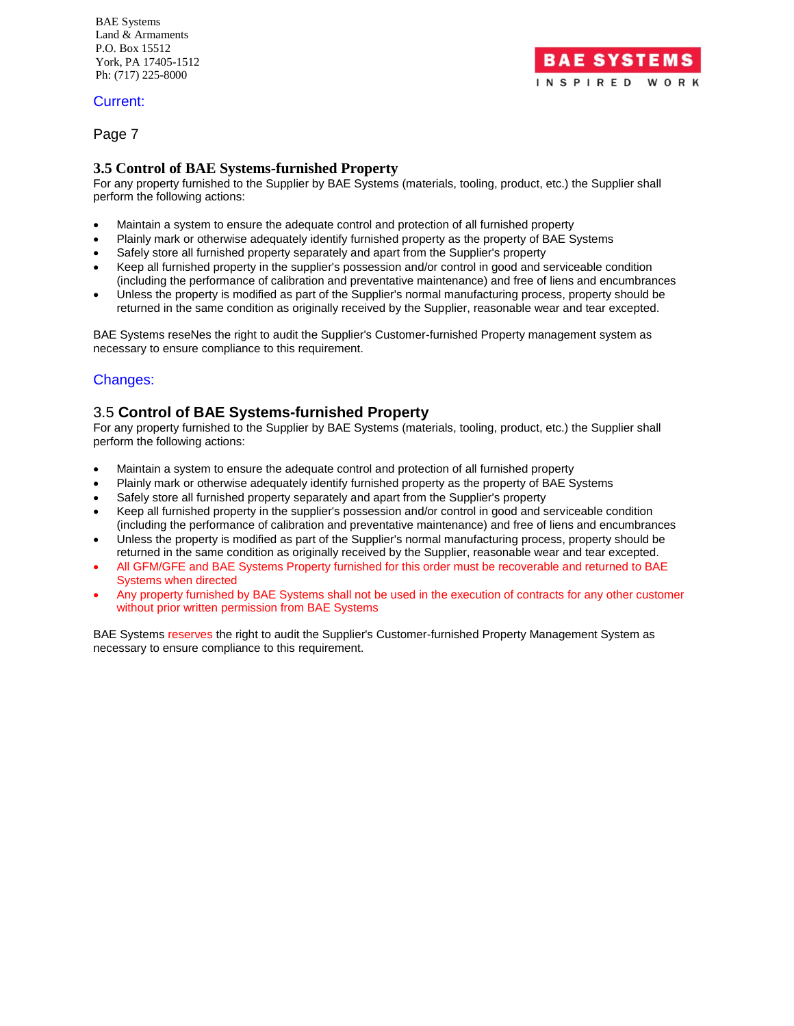## Current:

Page 7

# **3.5 Control of BAE Systems-furnished Property**

For any property furnished to the Supplier by BAE Systems (materials, tooling, product, etc.) the Supplier shall perform the following actions:

- Maintain a system to ensure the adequate control and protection of all furnished property
- Plainly mark or otherwise adequately identify furnished property as the property of BAE Systems
- Safely store all furnished property separately and apart from the Supplier's property
- Keep all furnished property in the supplier's possession and/or control in good and serviceable condition (including the performance of calibration and preventative maintenance) and free of liens and encumbrances
- Unless the property is modified as part of the Supplier's normal manufacturing process, property should be returned in the same condition as originally received by the Supplier, reasonable wear and tear excepted.

BAE Systems reseNes the right to audit the Supplier's Customer-furnished Property management system as necessary to ensure compliance to this requirement.

# Changes:

# 3.5 **Control of BAE Systems-furnished Property**

For any property furnished to the Supplier by BAE Systems (materials, tooling, product, etc.) the Supplier shall perform the following actions:

- Maintain a system to ensure the adequate control and protection of all furnished property
- Plainly mark or otherwise adequately identify furnished property as the property of BAE Systems
- Safely store all furnished property separately and apart from the Supplier's property
- Keep all furnished property in the supplier's possession and/or control in good and serviceable condition (including the performance of calibration and preventative maintenance) and free of liens and encumbrances
- Unless the property is modified as part of the Supplier's normal manufacturing process, property should be returned in the same condition as originally received by the Supplier, reasonable wear and tear excepted.
- All GFM/GFE and BAE Systems Property furnished for this order must be recoverable and returned to BAE Systems when directed
- Any property furnished by BAE Systems shall not be used in the execution of contracts for any other customer without prior written permission from BAE Systems

BAE Systems reserves the right to audit the Supplier's Customer-furnished Property Management System as necessary to ensure compliance to this requirement.

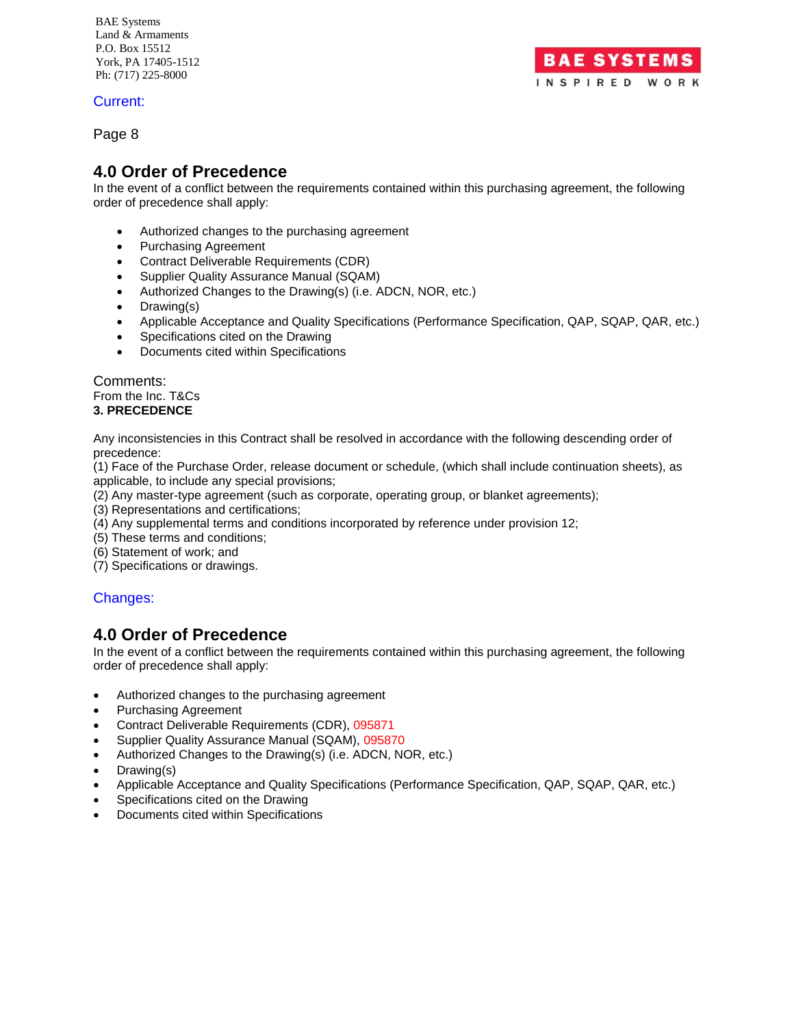Current:

Page 8

# **4.0 Order of Precedence**

In the event of a conflict between the requirements contained within this purchasing agreement, the following order of precedence shall apply:

- Authorized changes to the purchasing agreement
- Purchasing Agreement
- Contract Deliverable Requirements (CDR)
- Supplier Quality Assurance Manual (SQAM)
- Authorized Changes to the Drawing(s) (i.e. ADCN, NOR, etc.)
- Drawing(s)
- Applicable Acceptance and Quality Specifications (Performance Specification, QAP, SQAP, QAR, etc.)
- Specifications cited on the Drawing
- Documents cited within Specifications

Comments: From the Inc. T&Cs **3. PRECEDENCE** 

Any inconsistencies in this Contract shall be resolved in accordance with the following descending order of precedence:

(1) Face of the Purchase Order, release document or schedule, (which shall include continuation sheets), as applicable, to include any special provisions;

- (2) Any master-type agreement (such as corporate, operating group, or blanket agreements);
- (3) Representations and certifications;
- (4) Any supplemental terms and conditions incorporated by reference under provision 12;
- (5) These terms and conditions;
- (6) Statement of work; and
- (7) Specifications or drawings.

# Changes:

# **4.0 Order of Precedence**

In the event of a conflict between the requirements contained within this purchasing agreement, the following order of precedence shall apply:

- Authorized changes to the purchasing agreement
- Purchasing Agreement
- Contract Deliverable Requirements (CDR), 095871
- Supplier Quality Assurance Manual (SQAM), 095870
- Authorized Changes to the Drawing(s) (i.e. ADCN, NOR, etc.)
- Drawing(s)
- Applicable Acceptance and Quality Specifications (Performance Specification, QAP, SQAP, QAR, etc.)
- Specifications cited on the Drawing
- Documents cited within Specifications

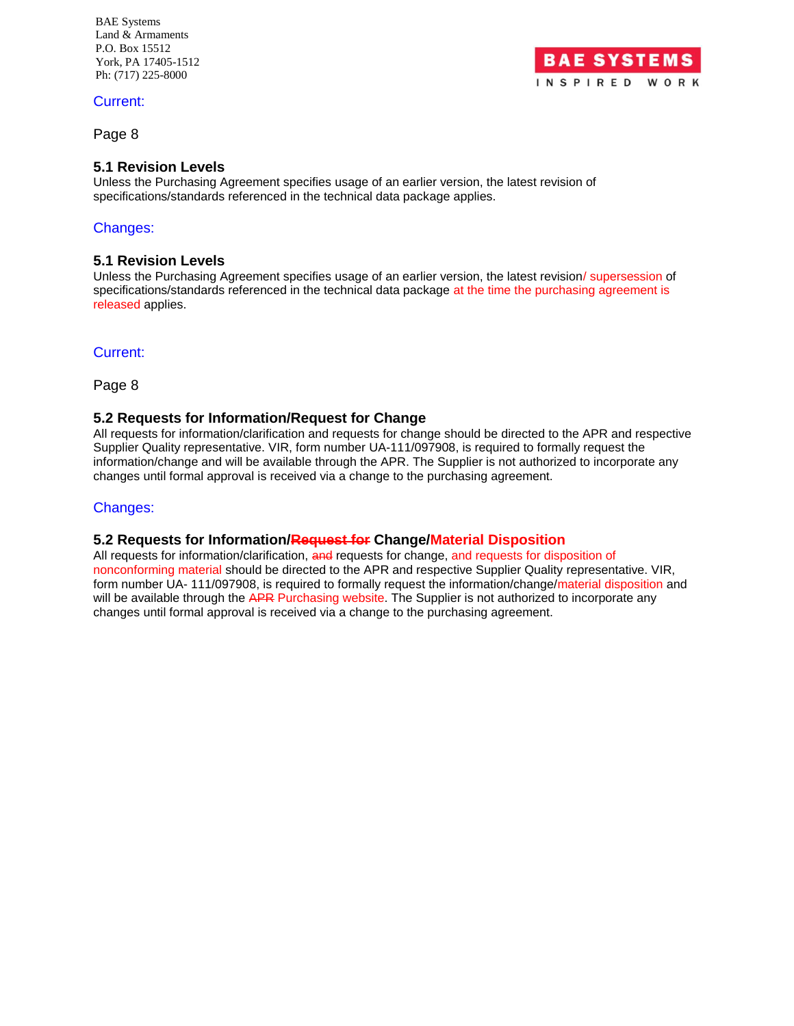#### Current:

Page 8

# **5.1 Revision Levels**

Unless the Purchasing Agreement specifies usage of an earlier version, the latest revision of specifications/standards referenced in the technical data package applies.

# Changes:

# **5.1 Revision Levels**

Unless the Purchasing Agreement specifies usage of an earlier version, the latest revision/ supersession of specifications/standards referenced in the technical data package at the time the purchasing agreement is released applies.

# Current:

Page 8

# **5.2 Requests for Information/Request for Change**

All requests for information/clarification and requests for change should be directed to the APR and respective Supplier Quality representative. VIR, form number UA-111/097908, is required to formally request the information/change and will be available through the APR. The Supplier is not authorized to incorporate any changes until formal approval is received via a change to the purchasing agreement.

# Changes:

#### **5.2 Requests for Information/Request for Change/Material Disposition**

All requests for information/clarification, and requests for change, and requests for disposition of nonconforming material should be directed to the APR and respective Supplier Quality representative. VIR, form number UA- 111/097908, is required to formally request the information/change/material disposition and will be available through the APR Purchasing website. The Supplier is not authorized to incorporate any changes until formal approval is received via a change to the purchasing agreement.

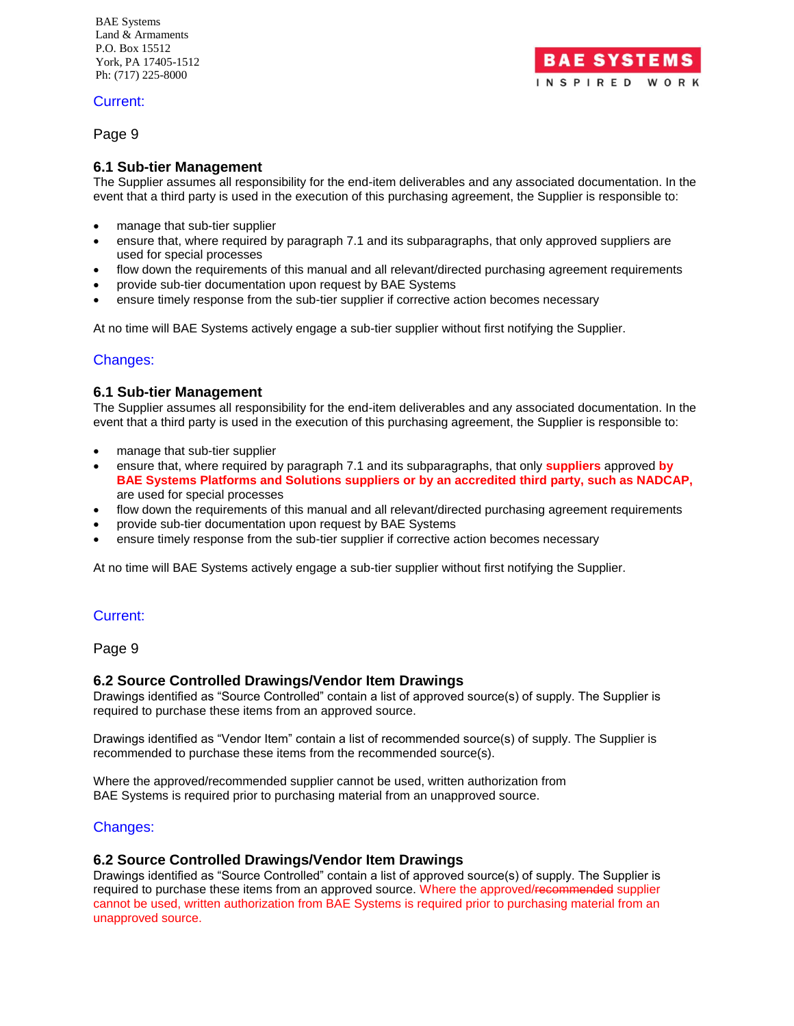## Current:

Page 9

## **6.1 Sub-tier Management**

The Supplier assumes all responsibility for the end-item deliverables and any associated documentation. In the event that a third party is used in the execution of this purchasing agreement, the Supplier is responsible to:

BAE SYSTEM INSPIRED WORK

- manage that sub-tier supplier
- ensure that, where required by paragraph 7.1 and its subparagraphs, that only approved suppliers are used for special processes
- flow down the requirements of this manual and all relevant/directed purchasing agreement requirements
- provide sub-tier documentation upon request by BAE Systems
- ensure timely response from the sub-tier supplier if corrective action becomes necessary

At no time will BAE Systems actively engage a sub-tier supplier without first notifying the Supplier.

#### Changes:

#### **6.1 Sub-tier Management**

The Supplier assumes all responsibility for the end-item deliverables and any associated documentation. In the event that a third party is used in the execution of this purchasing agreement, the Supplier is responsible to:

- manage that sub-tier supplier
- ensure that, where required by paragraph 7.1 and its subparagraphs, that only **suppliers** approved **by BAE Systems Platforms and Solutions suppliers or by an accredited third party, such as NADCAP,** are used for special processes
- flow down the requirements of this manual and all relevant/directed purchasing agreement requirements
- provide sub-tier documentation upon request by BAE Systems
- ensure timely response from the sub-tier supplier if corrective action becomes necessary

At no time will BAE Systems actively engage a sub-tier supplier without first notifying the Supplier.

# Current:

Page 9

#### **6.2 Source Controlled Drawings/Vendor Item Drawings**

Drawings identified as "Source Controlled" contain a list of approved source(s) of supply. The Supplier is required to purchase these items from an approved source.

Drawings identified as "Vendor Item" contain a list of recommended source(s) of supply. The Supplier is recommended to purchase these items from the recommended source(s).

Where the approved/recommended supplier cannot be used, written authorization from BAE Systems is required prior to purchasing material from an unapproved source.

# Changes:

#### **6.2 Source Controlled Drawings/Vendor Item Drawings**

Drawings identified as "Source Controlled" contain a list of approved source(s) of supply. The Supplier is required to purchase these items from an approved source. Where the approved/recommended supplier cannot be used, written authorization from BAE Systems is required prior to purchasing material from an unapproved source.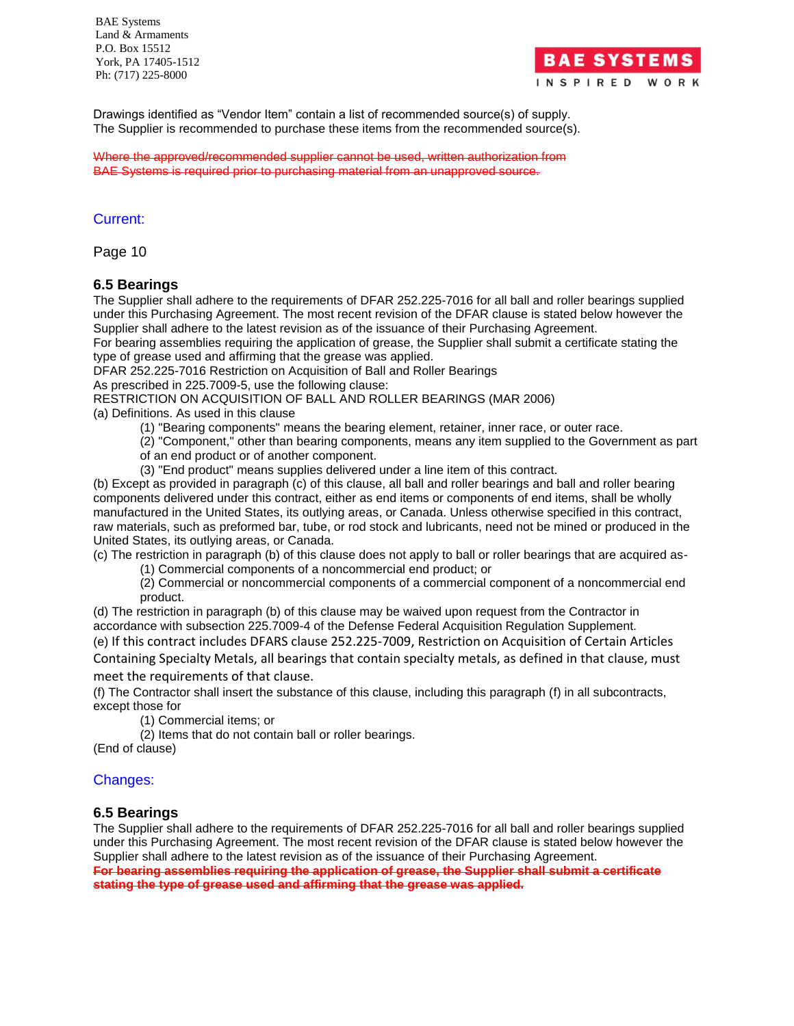

Drawings identified as "Vendor Item" contain a list of recommended source(s) of supply. The Supplier is recommended to purchase these items from the recommended source(s).

Where the approved/recommended supplier cannot be used, written authorization from BAE Systems is required prior to purchasing material from an unapproved source.

## Current:

Page 10

# **6.5 Bearings**

The Supplier shall adhere to the requirements of DFAR 252.225-7016 for all ball and roller bearings supplied under this Purchasing Agreement. The most recent revision of the DFAR clause is stated below however the Supplier shall adhere to the latest revision as of the issuance of their Purchasing Agreement.

For bearing assemblies requiring the application of grease, the Supplier shall submit a certificate stating the type of grease used and affirming that the grease was applied.

DFAR 252.225-7016 Restriction on Acquisition of Ball and Roller Bearings

As prescribed in 225.7009-5, use the following clause:

RESTRICTION ON ACQUISITION OF BALL AND ROLLER BEARINGS (MAR 2006)

(a) Definitions. As used in this clause

(1) "Bearing components" means the bearing element, retainer, inner race, or outer race.

(2) "Component," other than bearing components, means any item supplied to the Government as part of an end product or of another component.

(3) "End product" means supplies delivered under a line item of this contract.

(b) Except as provided in paragraph (c) of this clause, all ball and roller bearings and ball and roller bearing components delivered under this contract, either as end items or components of end items, shall be wholly manufactured in the United States, its outlying areas, or Canada. Unless otherwise specified in this contract, raw materials, such as preformed bar, tube, or rod stock and lubricants, need not be mined or produced in the United States, its outlying areas, or Canada.

(c) The restriction in paragraph (b) of this clause does not apply to ball or roller bearings that are acquired as- (1) Commercial components of a noncommercial end product; or

(2) Commercial or noncommercial components of a commercial component of a noncommercial end product.

(d) The restriction in paragraph (b) of this clause may be waived upon request from the Contractor in accordance with subsection 225.7009-4 of the Defense Federal Acquisition Regulation Supplement.

(e) If this contract includes DFARS clause [252.225-7009,](http://www.acq.osd.mil/dpap/dars/dfars/html/current/252225.htm#252.225-7009) Restriction on Acquisition of Certain Articles Containing Specialty Metals, all bearings that contain specialty metals, as defined in that clause, must

meet the requirements of that clause.

(f) The Contractor shall insert the substance of this clause, including this paragraph (f) in all subcontracts, except those for

(1) Commercial items; or

(2) Items that do not contain ball or roller bearings.

(End of clause)

# Changes:

#### **6.5 Bearings**

The Supplier shall adhere to the requirements of DFAR 252.225-7016 for all ball and roller bearings supplied under this Purchasing Agreement. The most recent revision of the DFAR clause is stated below however the Supplier shall adhere to the latest revision as of the issuance of their Purchasing Agreement.

**For bearing assemblies requiring the application of grease, the Supplier shall submit a certificate stating the type of grease used and affirming that the grease was applied.**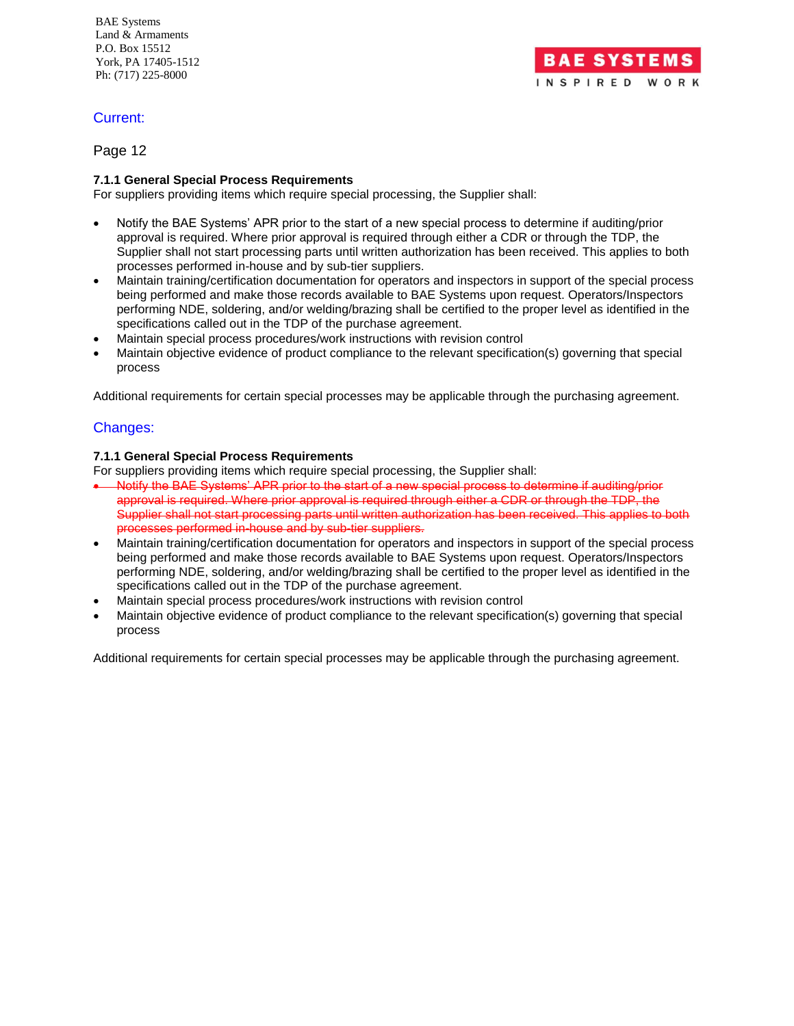

# Current:

Page 12

## **7.1.1 General Special Process Requirements**

For suppliers providing items which require special processing, the Supplier shall:

- Notify the BAE Systems' APR prior to the start of a new special process to determine if auditing/prior approval is required. Where prior approval is required through either a CDR or through the TDP, the Supplier shall not start processing parts until written authorization has been received. This applies to both processes performed in-house and by sub-tier suppliers.
- Maintain training/certification documentation for operators and inspectors in support of the special process being performed and make those records available to BAE Systems upon request. Operators/Inspectors performing NDE, soldering, and/or welding/brazing shall be certified to the proper level as identified in the specifications called out in the TDP of the purchase agreement.
- Maintain special process procedures/work instructions with revision control
- Maintain objective evidence of product compliance to the relevant specification(s) governing that special process

Additional requirements for certain special processes may be applicable through the purchasing agreement.

# Changes:

#### **7.1.1 General Special Process Requirements**

For suppliers providing items which require special processing, the Supplier shall:

- Notify the BAE Systems' APR prior to the start of a new special process to determine if auditing/prior approval is required. Where prior approval is required through either a CDR or through the TDP, the Supplier shall not start processing parts until written authorization has been received. This applies to both processes performed in-house and by sub-tier suppliers.
- Maintain training/certification documentation for operators and inspectors in support of the special process being performed and make those records available to BAE Systems upon request. Operators/Inspectors performing NDE, soldering, and/or welding/brazing shall be certified to the proper level as identified in the specifications called out in the TDP of the purchase agreement.
- Maintain special process procedures/work instructions with revision control
- Maintain objective evidence of product compliance to the relevant specification(s) governing that special process

Additional requirements for certain special processes may be applicable through the purchasing agreement.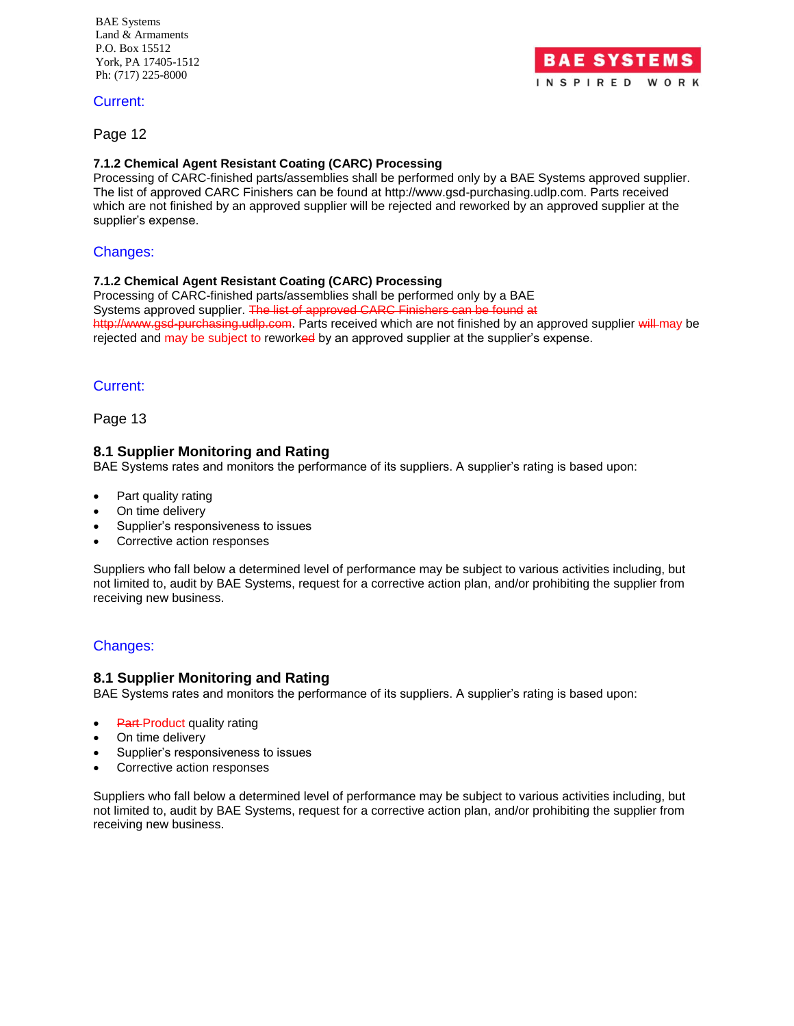#### Current:

Page 12

#### **7.1.2 Chemical Agent Resistant Coating (CARC) Processing**

Processing of CARC-finished parts/assemblies shall be performed only by a BAE Systems approved supplier. The list of approved CARC Finishers can be found at http://www.gsd-purchasing.udlp.com. Parts received which are not finished by an approved supplier will be rejected and reworked by an approved supplier at the supplier's expense.

#### Changes:

#### **7.1.2 Chemical Agent Resistant Coating (CARC) Processing**

Processing of CARC-finished parts/assemblies shall be performed only by a BAE Systems approved supplier. The list of approved CARC Finishers can be found at http://www.gsd-purchasing.udlp.com. Parts received which are not finished by an approved supplier will may be rejected and may be subject to reworked by an approved supplier at the supplier's expense.

# Current:

Page 13

#### **8.1 Supplier Monitoring and Rating**

BAE Systems rates and monitors the performance of its suppliers. A supplier's rating is based upon:

- Part quality rating
- On time delivery
- Supplier's responsiveness to issues
- Corrective action responses

Suppliers who fall below a determined level of performance may be subject to various activities including, but not limited to, audit by BAE Systems, request for a corrective action plan, and/or prohibiting the supplier from receiving new business.

# Changes:

#### **8.1 Supplier Monitoring and Rating**

BAE Systems rates and monitors the performance of its suppliers. A supplier's rating is based upon:

- Part-Product quality rating
- On time delivery
- Supplier's responsiveness to issues
- Corrective action responses

Suppliers who fall below a determined level of performance may be subject to various activities including, but not limited to, audit by BAE Systems, request for a corrective action plan, and/or prohibiting the supplier from receiving new business.

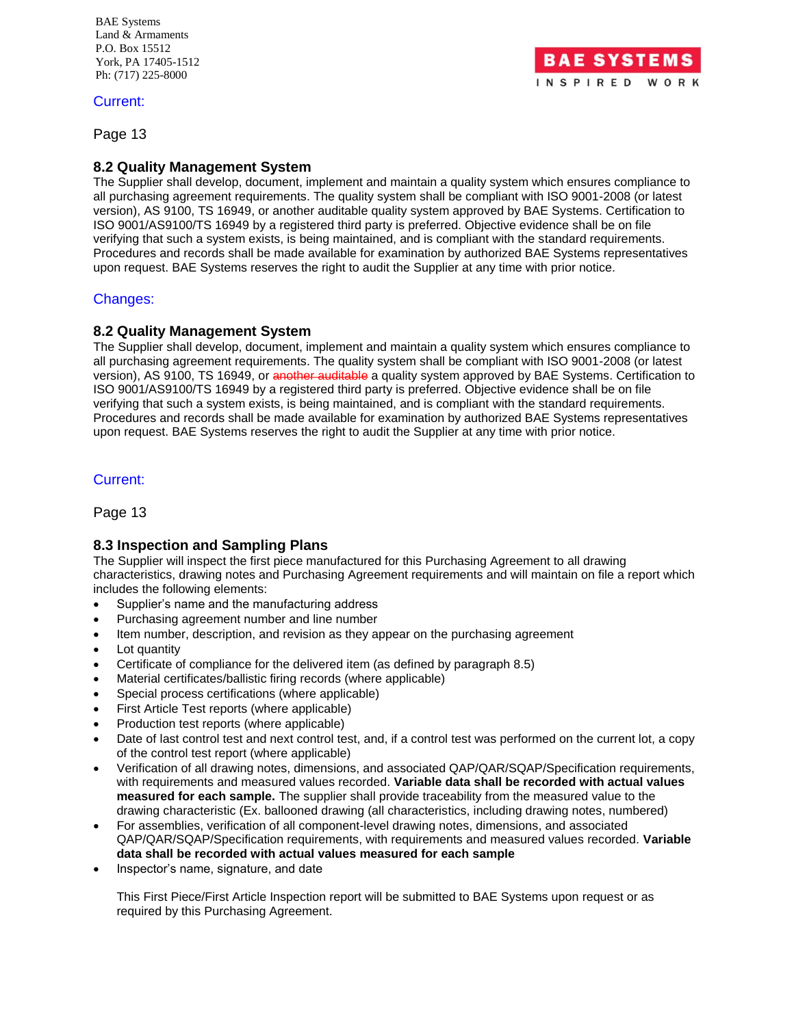#### Current:

Page 13

# **8.2 Quality Management System**

The Supplier shall develop, document, implement and maintain a quality system which ensures compliance to all purchasing agreement requirements. The quality system shall be compliant with ISO 9001-2008 (or latest version), AS 9100, TS 16949, or another auditable quality system approved by BAE Systems. Certification to ISO 9001/AS9100/TS 16949 by a registered third party is preferred. Objective evidence shall be on file verifying that such a system exists, is being maintained, and is compliant with the standard requirements. Procedures and records shall be made available for examination by authorized BAE Systems representatives upon request. BAE Systems reserves the right to audit the Supplier at any time with prior notice.

#### Changes:

# **8.2 Quality Management System**

The Supplier shall develop, document, implement and maintain a quality system which ensures compliance to all purchasing agreement requirements. The quality system shall be compliant with ISO 9001-2008 (or latest version), AS 9100, TS 16949, or another auditable a quality system approved by BAE Systems. Certification to ISO 9001/AS9100/TS 16949 by a registered third party is preferred. Objective evidence shall be on file verifying that such a system exists, is being maintained, and is compliant with the standard requirements. Procedures and records shall be made available for examination by authorized BAE Systems representatives upon request. BAE Systems reserves the right to audit the Supplier at any time with prior notice.

# Current:

Page 13

# **8.3 Inspection and Sampling Plans**

The Supplier will inspect the first piece manufactured for this Purchasing Agreement to all drawing characteristics, drawing notes and Purchasing Agreement requirements and will maintain on file a report which includes the following elements:

- Supplier's name and the manufacturing address
- Purchasing agreement number and line number
- Item number, description, and revision as they appear on the purchasing agreement
- Lot quantity
- Certificate of compliance for the delivered item (as defined by paragraph 8.5)
- Material certificates/ballistic firing records (where applicable)
- Special process certifications (where applicable)
- First Article Test reports (where applicable)
- Production test reports (where applicable)
- Date of last control test and next control test, and, if a control test was performed on the current lot, a copy of the control test report (where applicable)
- Verification of all drawing notes, dimensions, and associated QAP/QAR/SQAP/Specification requirements, with requirements and measured values recorded. **Variable data shall be recorded with actual values measured for each sample.** The supplier shall provide traceability from the measured value to the drawing characteristic (Ex. ballooned drawing (all characteristics, including drawing notes, numbered)
- For assemblies, verification of all component-level drawing notes, dimensions, and associated QAP/QAR/SQAP/Specification requirements, with requirements and measured values recorded. **Variable data shall be recorded with actual values measured for each sample**
- Inspector's name, signature, and date

This First Piece/First Article Inspection report will be submitted to BAE Systems upon request or as required by this Purchasing Agreement.

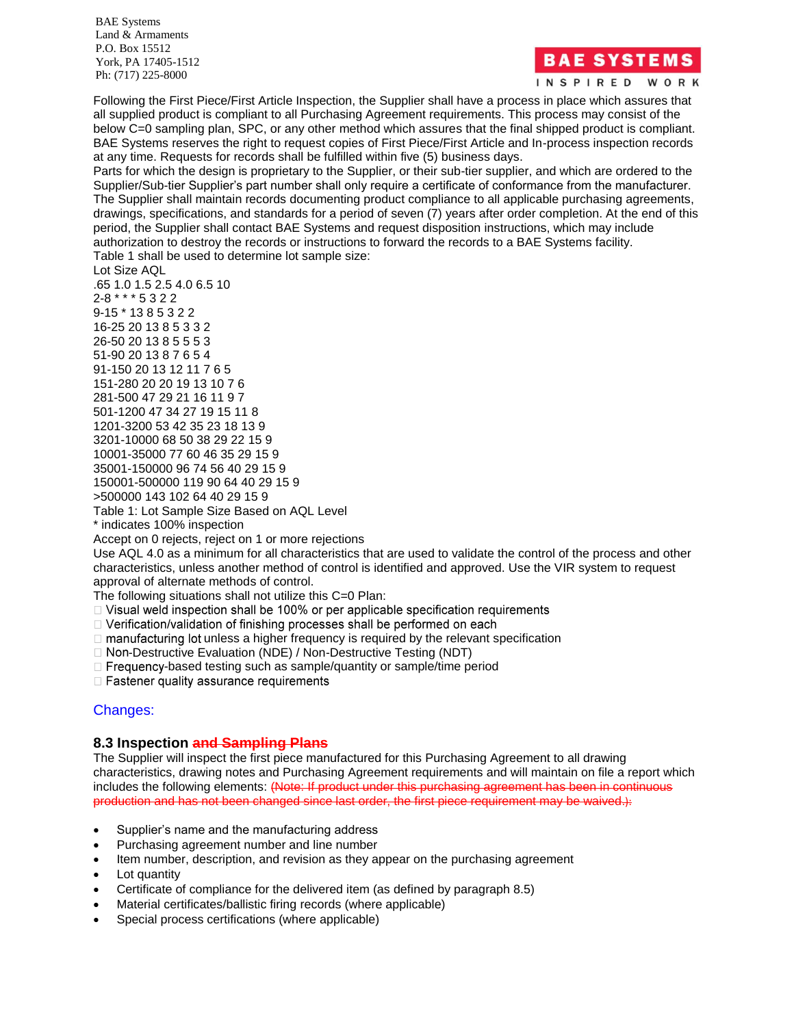INSPIRED WORK

**BAE SYSTEM** 

Following the First Piece/First Article Inspection, the Supplier shall have a process in place which assures that all supplied product is compliant to all Purchasing Agreement requirements. This process may consist of the below C=0 sampling plan, SPC, or any other method which assures that the final shipped product is compliant. BAE Systems reserves the right to request copies of First Piece/First Article and In-process inspection records at any time. Requests for records shall be fulfilled within five (5) business days.

Parts for which the design is proprietary to the Supplier, or their sub-tier supplier, and which are ordered to the Supplier/Sub-tier Supplier's part number shall only require a certificate of conformance from the manufacturer. The Supplier shall maintain records documenting product compliance to all applicable purchasing agreements, drawings, specifications, and standards for a period of seven (7) years after order completion. At the end of this period, the Supplier shall contact BAE Systems and request disposition instructions, which may include authorization to destroy the records or instructions to forward the records to a BAE Systems facility. Table 1 shall be used to determine lot sample size:

Lot Size AQL

.65 1.0 1.5 2.5 4.0 6.5 10 2-8 \* \* \* 5 3 2 2 9-15 \* 13 8 5 3 2 2 16-25 20 13 8 5 3 3 2 26-50 20 13 8 5 5 5 3 51-90 20 13 8 7 6 5 4 91-150 20 13 12 11 7 6 5 151-280 20 20 19 13 10 7 6 281-500 47 29 21 16 11 9 7 501-1200 47 34 27 19 15 11 8 1201-3200 53 42 35 23 18 13 9 3201-10000 68 50 38 29 22 15 9 10001-35000 77 60 46 35 29 15 9 35001-150000 96 74 56 40 29 15 9 150001-500000 119 90 64 40 29 15 9 >500000 143 102 64 40 29 15 9 Table 1: Lot Sample Size Based on AQL Level

\* indicates 100% inspection

Accept on 0 rejects, reject on 1 or more rejections

Use AQL 4.0 as a minimum for all characteristics that are used to validate the control of the process and other characteristics, unless another method of control is identified and approved. Use the VIR system to request approval of alternate methods of control.

The following situations shall not utilize this C=0 Plan:

- $\Box$  Visual weld inspection shall be 100% or per applicable specification requirements
- □ Verification/validation of finishing processes shall be performed on each
- $\Box$  manufacturing lot unless a higher frequency is required by the relevant specification
- $\Box$  Non-Destructive Evaluation (NDE) / Non-Destructive Testing (NDT)
- $\Box$  Frequency-based testing such as sample/quantity or sample/time period
- $\Box$  Fastener quality assurance requirements

# Changes:

#### **8.3 Inspection and Sampling Plans**

The Supplier will inspect the first piece manufactured for this Purchasing Agreement to all drawing characteristics, drawing notes and Purchasing Agreement requirements and will maintain on file a report which includes the following elements: (Note: If product under this purchasing agreement has been in continuous production and has not been changed since last order, the first piece requirement may be waived.):

- Supplier's name and the manufacturing address
- Purchasing agreement number and line number
- Item number, description, and revision as they appear on the purchasing agreement
- Lot quantity
- Certificate of compliance for the delivered item (as defined by paragraph 8.5)
- Material certificates/ballistic firing records (where applicable)
- Special process certifications (where applicable)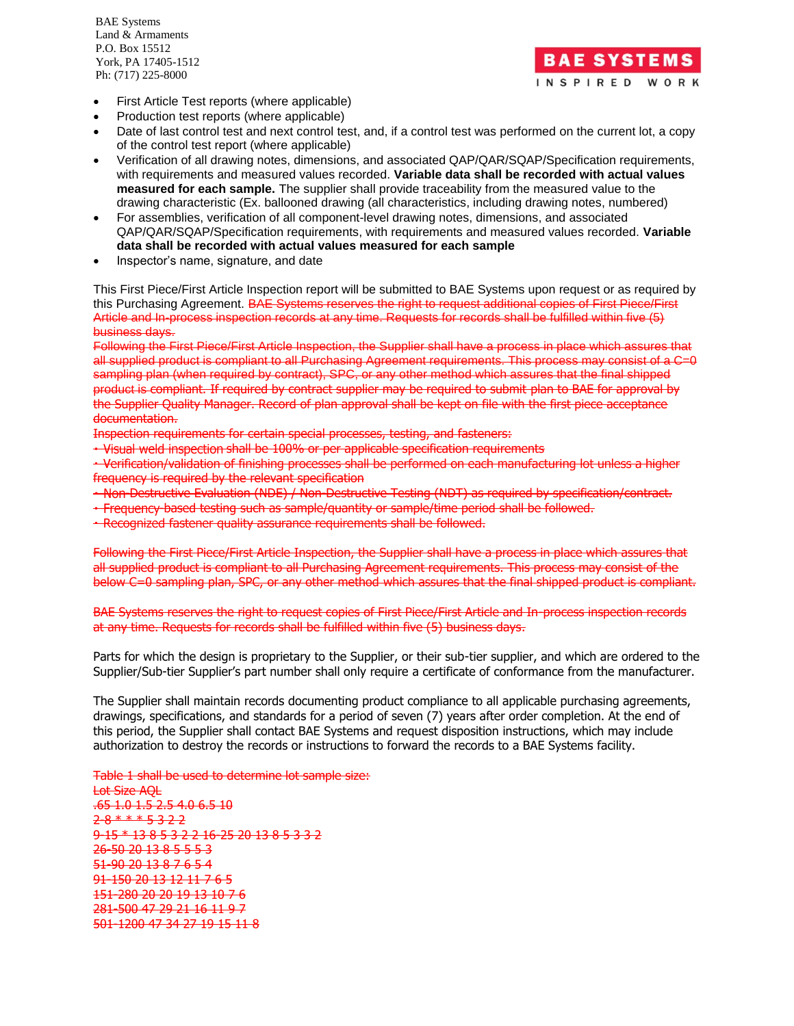- First Article Test reports (where applicable)
- Production test reports (where applicable)
- Date of last control test and next control test, and, if a control test was performed on the current lot, a copy of the control test report (where applicable)

**BAE SYSTEMS** INSPIRED WORK

- Verification of all drawing notes, dimensions, and associated QAP/QAR/SQAP/Specification requirements, with requirements and measured values recorded. **Variable data shall be recorded with actual values measured for each sample.** The supplier shall provide traceability from the measured value to the drawing characteristic (Ex. ballooned drawing (all characteristics, including drawing notes, numbered)
- For assemblies, verification of all component-level drawing notes, dimensions, and associated QAP/QAR/SQAP/Specification requirements, with requirements and measured values recorded. **Variable data shall be recorded with actual values measured for each sample**
- Inspector's name, signature, and date

This First Piece/First Article Inspection report will be submitted to BAE Systems upon request or as required by this Purchasing Agreement. BAE Systems reserves the right to request additional copies of First Piece/First Article and In-process inspection records at any time. Requests for records shall be fulfilled within five (5) business days.

Following the First Piece/First Article Inspection, the Supplier shall have a process in place which assures that all supplied product is compliant to all Purchasing Agreement requirements. This process may consist of a C=0 sampling plan (when required by contract), SPC, or any other method which assures that the final shipped product is compliant. If required by contract supplier may be required to submit plan to BAE for approval by the Supplier Quality Manager. Record of plan approval shall be kept on file with the first piece acceptance documentation.

Inspection requirements for certain special processes, testing, and fasteners:

- Visual weld inspection shall be 100% or per applicable specification requirements

- Verification/validation of finishing processes shall be performed on each manufacturing lot unless a higher frequency is required by the relevant specification

- Non-Destructive Evaluation (NDE) / Non-Destructive Testing (NDT) as required by specification/contract.

- Frequency based testing such as sample/quantity or sample/time period shall be followed.

- Recognized fastener quality assurance requirements shall be followed.

Following the First Piece/First Article Inspection, the Supplier shall have a process in place which assures that all supplied product is compliant to all Purchasing Agreement requirements. This process may consist of the below C=0 sampling plan, SPC, or any other method which assures that the final shipped product is compliant.

BAE Systems reserves the right to request copies of First Piece/First Article and In-process inspection records at any time. Requests for records shall be fulfilled within five (5) business days.

Parts for which the design is proprietary to the Supplier, or their sub-tier supplier, and which are ordered to the Supplier/Sub-tier Supplier's part number shall only require a certificate of conformance from the manufacturer.

The Supplier shall maintain records documenting product compliance to all applicable purchasing agreements, drawings, specifications, and standards for a period of seven (7) years after order completion. At the end of this period, the Supplier shall contact BAE Systems and request disposition instructions, which may include authorization to destroy the records or instructions to forward the records to a BAE Systems facility.

Table 1 shall be used to determine lot sample size: Lot Size AQL .65 1.0 1.5 2.5 4.0 6.5 10 2-8 \* \* \* 5 3 2 2 9-15 \* 13 8 5 3 2 2 16-25 20 13 8 5 3 3 2 26-50 20 13 8 5 5 5 3 51-90 20 13 8 7 6 5 4 91-150 20 13 12 11 7 6 5 151-280 20 20 19 13 10 7 6 281-500 47 29 21 16 11 9 7 501-1200 47 34 27 19 15 11 8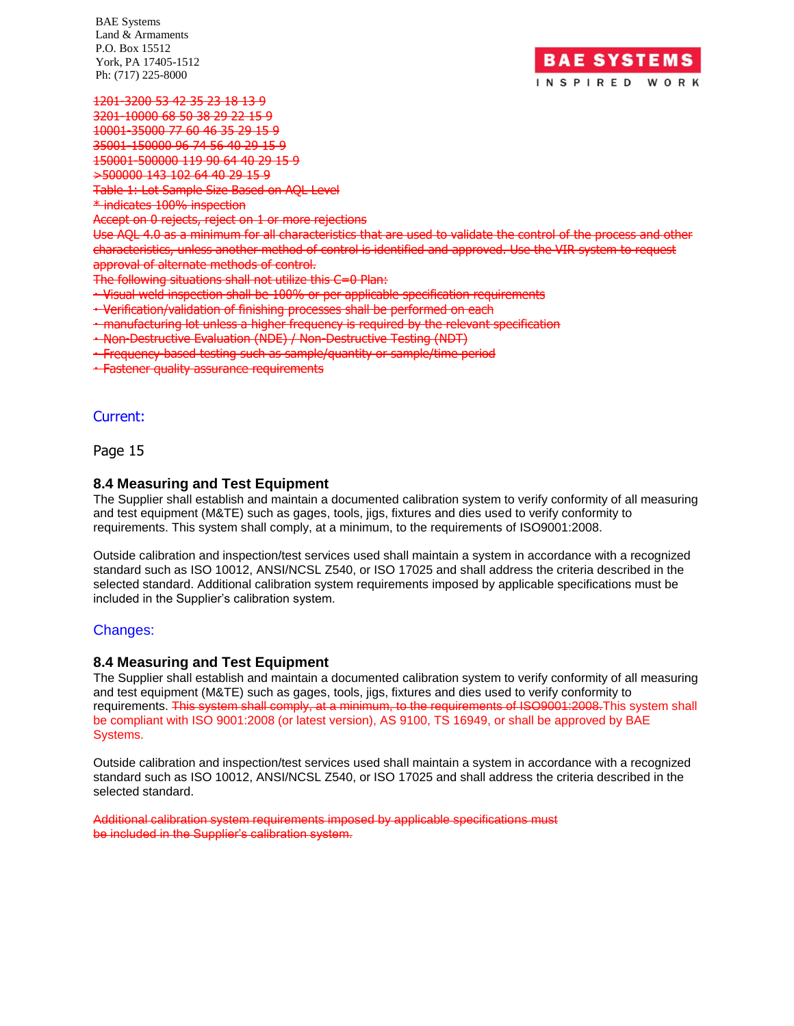

1201-3200 53 42 35 23 18 13 9

3201-10000 68 50 38 29 22 15 9 10001-35000 77 60 46 35 29 15 9 35001-150000 96 74 56 40 29 15 9 150001-500000 119 90 64 40 29 15 9 >500000 143 102 64 40 29 15 9 Table 1: Lot Sample Size Based on AQL Level

\* indicates 100% inspection

Accept on 0 rejects, reject on 1 or more rejections

Use AQL 4.0 as a minimum for all characteristics that are used to validate the control of the process and other characteristics, unless another method of control is identified and approved. Use the VIR system to request approval of alternate methods of control.

The following situations shall not utilize this C=0 Plan:

- Verification/validation of finishing processes shall be performed on each

- manufacturing lot unless a higher frequency is required by the relevant specification

- Non-Destructive Evaluation (NDE) / Non-Destructive Testing (NDT)
- Frequency based testing such as sample/quantity or sample/time period
- Fastener quality assurance requirements

# Current:

Page 15

# **8.4 Measuring and Test Equipment**

The Supplier shall establish and maintain a documented calibration system to verify conformity of all measuring and test equipment (M&TE) such as gages, tools, jigs, fixtures and dies used to verify conformity to requirements. This system shall comply, at a minimum, to the requirements of ISO9001:2008.

Outside calibration and inspection/test services used shall maintain a system in accordance with a recognized standard such as ISO 10012, ANSI/NCSL Z540, or ISO 17025 and shall address the criteria described in the selected standard. Additional calibration system requirements imposed by applicable specifications must be included in the Supplier's calibration system.

# Changes:

#### **8.4 Measuring and Test Equipment**

The Supplier shall establish and maintain a documented calibration system to verify conformity of all measuring and test equipment (M&TE) such as gages, tools, jigs, fixtures and dies used to verify conformity to requirements. This system shall comply, at a minimum, to the requirements of ISO9001:2008. This system shall be compliant with ISO 9001:2008 (or latest version), AS 9100, TS 16949, or shall be approved by BAE Systems.

Outside calibration and inspection/test services used shall maintain a system in accordance with a recognized standard such as ISO 10012, ANSI/NCSL Z540, or ISO 17025 and shall address the criteria described in the selected standard.

Additional calibration system requirements imposed by applicable specifications must be included in the Supplier's calibration system.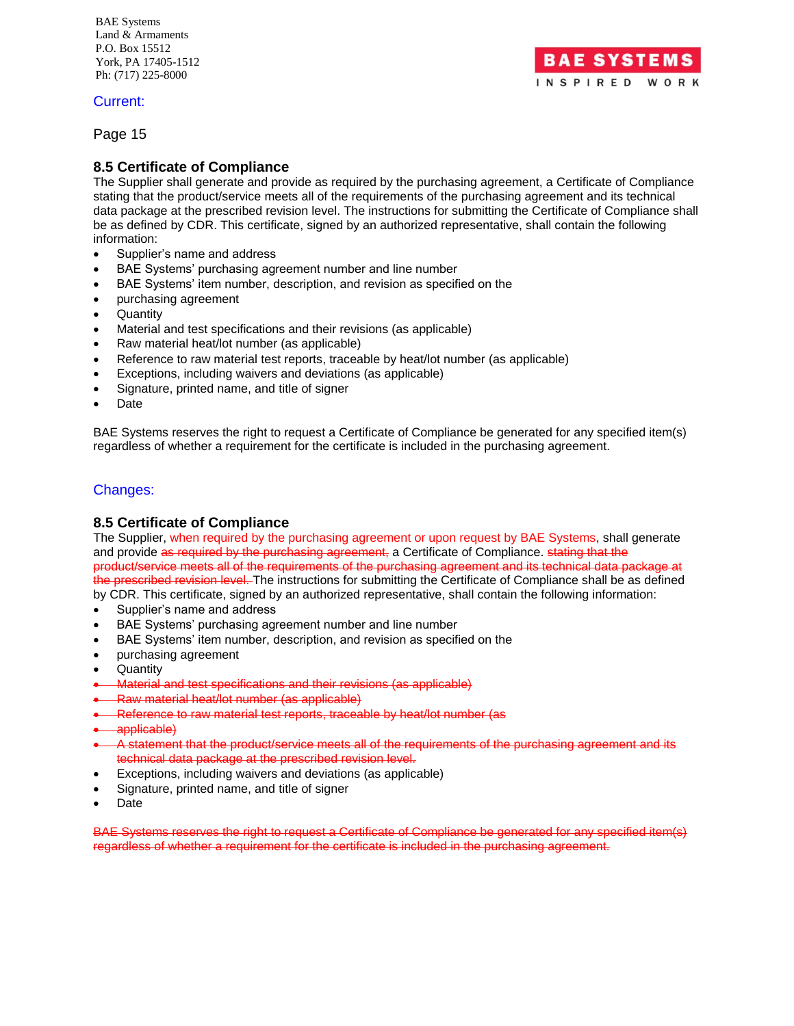# Current:

Page 15

# **8.5 Certificate of Compliance**

The Supplier shall generate and provide as required by the purchasing agreement, a Certificate of Compliance stating that the product/service meets all of the requirements of the purchasing agreement and its technical data package at the prescribed revision level. The instructions for submitting the Certificate of Compliance shall be as defined by CDR. This certificate, signed by an authorized representative, shall contain the following information:

- Supplier's name and address
- BAE Systems' purchasing agreement number and line number
- BAE Systems' item number, description, and revision as specified on the
- purchasing agreement
- **Quantity**
- Material and test specifications and their revisions (as applicable)
- Raw material heat/lot number (as applicable)
- Reference to raw material test reports, traceable by heat/lot number (as applicable)
- Exceptions, including waivers and deviations (as applicable)
- Signature, printed name, and title of signer
- Date

BAE Systems reserves the right to request a Certificate of Compliance be generated for any specified item(s) regardless of whether a requirement for the certificate is included in the purchasing agreement.

#### Changes:

# **8.5 Certificate of Compliance**

The Supplier, when required by the purchasing agreement or upon request by BAE Systems, shall generate and provide as required by the purchasing agreement, a Certificate of Compliance. stating that the product/service meets all of the requirements of the purchasing agreement and its technical data package at the prescribed revision level. The instructions for submitting the Certificate of Compliance shall be as defined by CDR. This certificate, signed by an authorized representative, shall contain the following information:

- Supplier's name and address
- BAE Systems' purchasing agreement number and line number
- BAE Systems' item number, description, and revision as specified on the
- purchasing agreement
- **Quantity**
- Material and test specifications and their revisions (as applicable)
- Raw material heat/lot number (as applicable)
- Reference to raw material test reports, traceable by heat/lot number (as
- applicable)
- A statement that the product/service meets all of the requirements of the purchasing agreement and its technical data package at the prescribed revision level.
- Exceptions, including waivers and deviations (as applicable)
- Signature, printed name, and title of signer
- Date

BAE Systems reserves the right to request a Certificate of Compliance be generated for any specified item(s) regardless of whether a requirement for the certificate is included in the purchasing agreement.

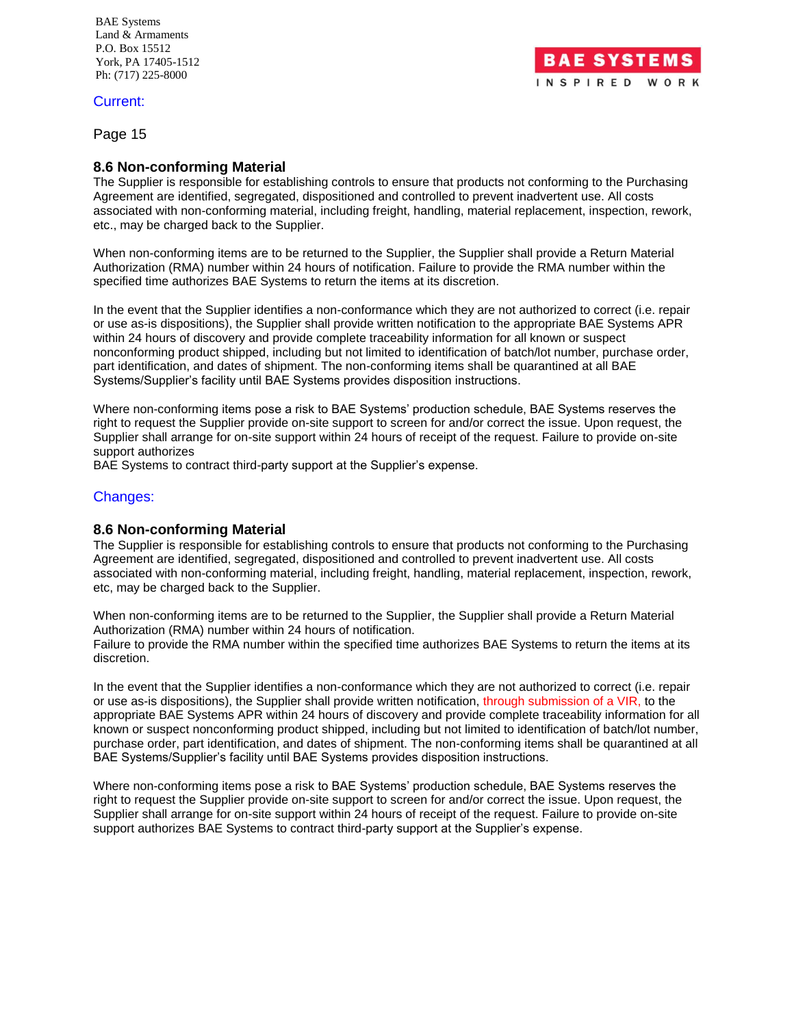#### Current:

Page 15

#### **8.6 Non-conforming Material**

The Supplier is responsible for establishing controls to ensure that products not conforming to the Purchasing Agreement are identified, segregated, dispositioned and controlled to prevent inadvertent use. All costs associated with non-conforming material, including freight, handling, material replacement, inspection, rework, etc., may be charged back to the Supplier.

**BAE SYSTEM** INSPIRED WORK

When non-conforming items are to be returned to the Supplier, the Supplier shall provide a Return Material Authorization (RMA) number within 24 hours of notification. Failure to provide the RMA number within the specified time authorizes BAE Systems to return the items at its discretion.

In the event that the Supplier identifies a non-conformance which they are not authorized to correct (i.e. repair or use as-is dispositions), the Supplier shall provide written notification to the appropriate BAE Systems APR within 24 hours of discovery and provide complete traceability information for all known or suspect nonconforming product shipped, including but not limited to identification of batch/lot number, purchase order, part identification, and dates of shipment. The non-conforming items shall be quarantined at all BAE Systems/Supplier's facility until BAE Systems provides disposition instructions.

Where non-conforming items pose a risk to BAE Systems' production schedule, BAE Systems reserves the right to request the Supplier provide on-site support to screen for and/or correct the issue. Upon request, the Supplier shall arrange for on-site support within 24 hours of receipt of the request. Failure to provide on-site support authorizes

BAE Systems to contract third-party support at the Supplier's expense.

#### Changes:

#### **8.6 Non-conforming Material**

The Supplier is responsible for establishing controls to ensure that products not conforming to the Purchasing Agreement are identified, segregated, dispositioned and controlled to prevent inadvertent use. All costs associated with non-conforming material, including freight, handling, material replacement, inspection, rework, etc, may be charged back to the Supplier.

When non-conforming items are to be returned to the Supplier, the Supplier shall provide a Return Material Authorization (RMA) number within 24 hours of notification. Failure to provide the RMA number within the specified time authorizes BAE Systems to return the items at its

discretion.

In the event that the Supplier identifies a non-conformance which they are not authorized to correct (i.e. repair or use as-is dispositions), the Supplier shall provide written notification, through submission of a VIR, to the appropriate BAE Systems APR within 24 hours of discovery and provide complete traceability information for all known or suspect nonconforming product shipped, including but not limited to identification of batch/lot number, purchase order, part identification, and dates of shipment. The non-conforming items shall be quarantined at all BAE Systems/Supplier's facility until BAE Systems provides disposition instructions.

Where non-conforming items pose a risk to BAE Systems' production schedule, BAE Systems reserves the right to request the Supplier provide on-site support to screen for and/or correct the issue. Upon request, the Supplier shall arrange for on-site support within 24 hours of receipt of the request. Failure to provide on-site support authorizes BAE Systems to contract third-party support at the Supplier's expense.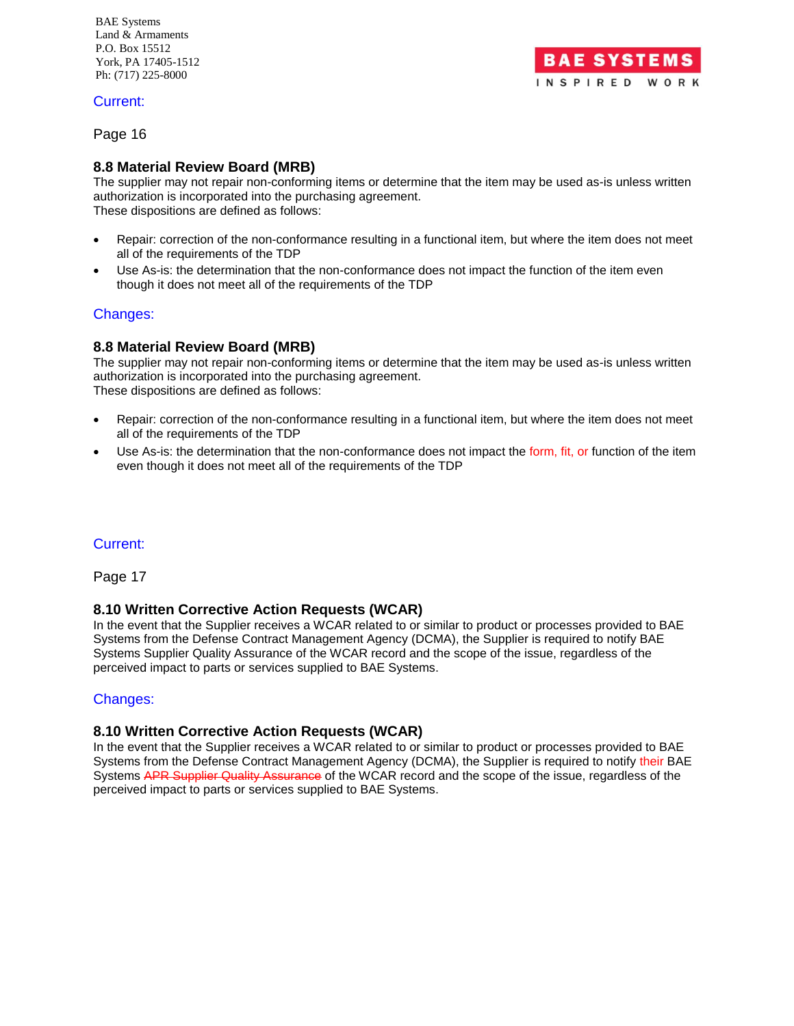#### Current:

Page 16

# **8.8 Material Review Board (MRB)**

The supplier may not repair non-conforming items or determine that the item may be used as-is unless written authorization is incorporated into the purchasing agreement. These dispositions are defined as follows:

- Repair: correction of the non-conformance resulting in a functional item, but where the item does not meet all of the requirements of the TDP
- Use As-is: the determination that the non-conformance does not impact the function of the item even though it does not meet all of the requirements of the TDP

# Changes:

# **8.8 Material Review Board (MRB)**

The supplier may not repair non-conforming items or determine that the item may be used as-is unless written authorization is incorporated into the purchasing agreement. These dispositions are defined as follows:

- Repair: correction of the non-conformance resulting in a functional item, but where the item does not meet all of the requirements of the TDP
- Use As-is: the determination that the non-conformance does not impact the form, fit, or function of the item even though it does not meet all of the requirements of the TDP

# Current:

Page 17

#### **8.10 Written Corrective Action Requests (WCAR)**

In the event that the Supplier receives a WCAR related to or similar to product or processes provided to BAE Systems from the Defense Contract Management Agency (DCMA), the Supplier is required to notify BAE Systems Supplier Quality Assurance of the WCAR record and the scope of the issue, regardless of the perceived impact to parts or services supplied to BAE Systems.

# Changes:

#### **8.10 Written Corrective Action Requests (WCAR)**

In the event that the Supplier receives a WCAR related to or similar to product or processes provided to BAE Systems from the Defense Contract Management Agency (DCMA), the Supplier is required to notify their BAE Systems APR Supplier Quality Assurance of the WCAR record and the scope of the issue, regardless of the perceived impact to parts or services supplied to BAE Systems.

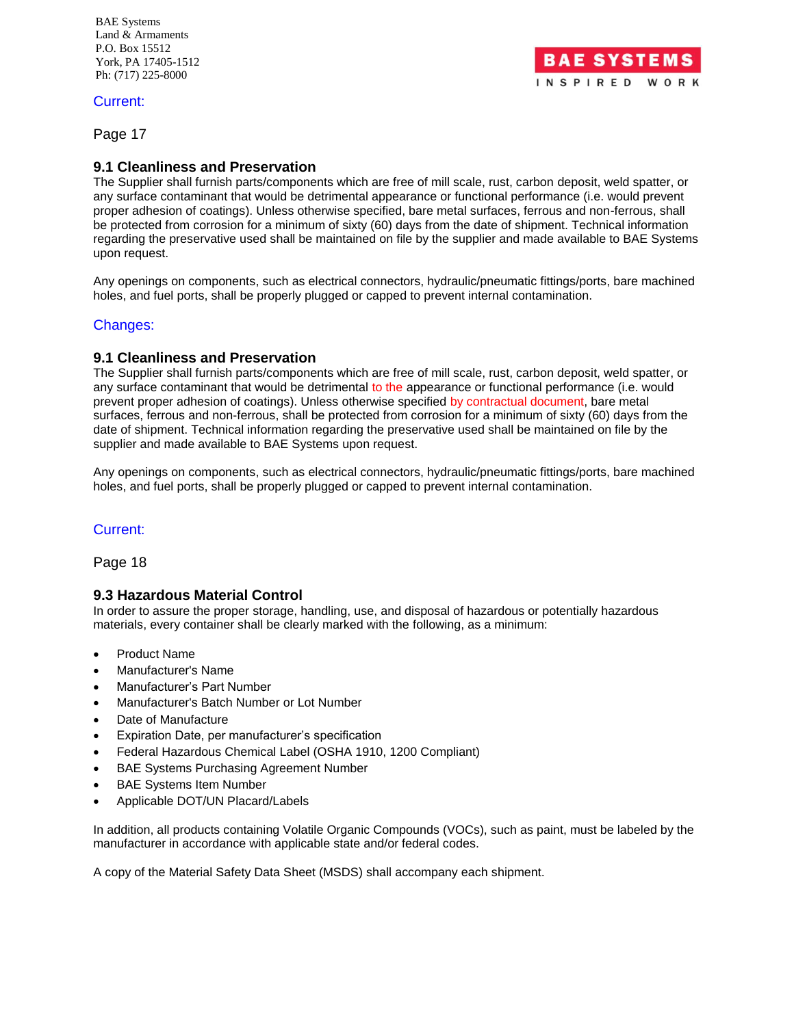#### Current:

Page 17

# **9.1 Cleanliness and Preservation**

The Supplier shall furnish parts/components which are free of mill scale, rust, carbon deposit, weld spatter, or any surface contaminant that would be detrimental appearance or functional performance (i.e. would prevent proper adhesion of coatings). Unless otherwise specified, bare metal surfaces, ferrous and non-ferrous, shall be protected from corrosion for a minimum of sixty (60) days from the date of shipment. Technical information regarding the preservative used shall be maintained on file by the supplier and made available to BAE Systems upon request.

Any openings on components, such as electrical connectors, hydraulic/pneumatic fittings/ports, bare machined holes, and fuel ports, shall be properly plugged or capped to prevent internal contamination.

# Changes:

#### **9.1 Cleanliness and Preservation**

The Supplier shall furnish parts/components which are free of mill scale, rust, carbon deposit, weld spatter, or any surface contaminant that would be detrimental to the appearance or functional performance (i.e. would prevent proper adhesion of coatings). Unless otherwise specified by contractual document, bare metal surfaces, ferrous and non-ferrous, shall be protected from corrosion for a minimum of sixty (60) days from the date of shipment. Technical information regarding the preservative used shall be maintained on file by the supplier and made available to BAE Systems upon request.

Any openings on components, such as electrical connectors, hydraulic/pneumatic fittings/ports, bare machined holes, and fuel ports, shall be properly plugged or capped to prevent internal contamination.

#### Current:

Page 18

#### **9.3 Hazardous Material Control**

In order to assure the proper storage, handling, use, and disposal of hazardous or potentially hazardous materials, every container shall be clearly marked with the following, as a minimum:

- Product Name
- Manufacturer's Name
- Manufacturer's Part Number
- Manufacturer's Batch Number or Lot Number
- Date of Manufacture
- Expiration Date, per manufacturer's specification
- Federal Hazardous Chemical Label (OSHA 1910, 1200 Compliant)
- BAE Systems Purchasing Agreement Number
- BAE Systems Item Number
- Applicable DOT/UN Placard/Labels

In addition, all products containing Volatile Organic Compounds (VOCs), such as paint, must be labeled by the manufacturer in accordance with applicable state and/or federal codes.

A copy of the Material Safety Data Sheet (MSDS) shall accompany each shipment.

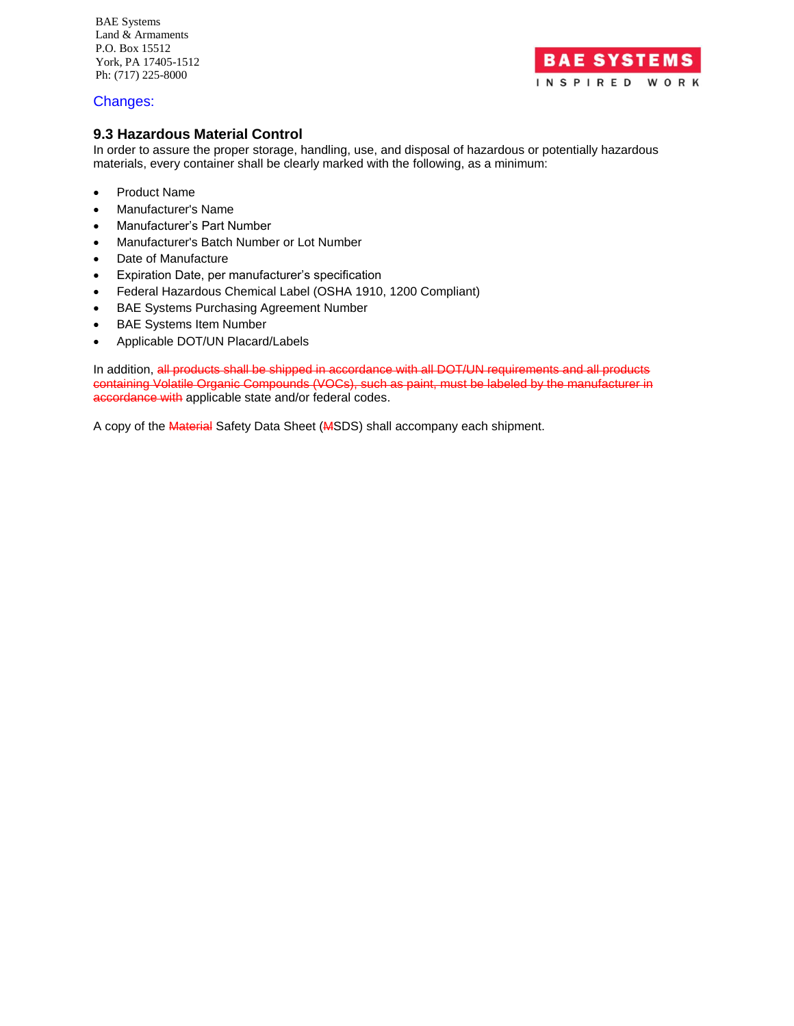# Changes:

## **9.3 Hazardous Material Control**

In order to assure the proper storage, handling, use, and disposal of hazardous or potentially hazardous materials, every container shall be clearly marked with the following, as a minimum:

- Product Name
- Manufacturer's Name
- Manufacturer's Part Number
- Manufacturer's Batch Number or Lot Number
- Date of Manufacture
- Expiration Date, per manufacturer's specification
- Federal Hazardous Chemical Label (OSHA 1910, 1200 Compliant)
- BAE Systems Purchasing Agreement Number
- BAE Systems Item Number
- Applicable DOT/UN Placard/Labels

In addition, all products shall be shipped in accordance with all DOT/UN requirements and all products containing Volatile Organic Compounds (VOCs), such as paint, must be labeled by the manufacturer in accordance with applicable state and/or federal codes.

A copy of the Material Safety Data Sheet (MSDS) shall accompany each shipment.